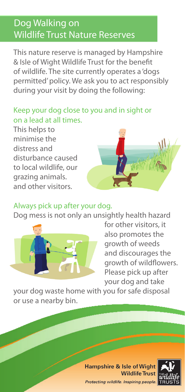# Dog Walking on Wildlife Trust Nature Reserves

This nature reserve is managed by Hampshire & Isle of Wight Wildlife Trust for the benefit of wildlife. The site currently operates a 'dogs permitted' policy. We ask you to act responsibly during your visit by doing the following:

#### Keep your dog close to you and in sight or on a lead at all times.

This helps to minimise the distress and disturbance caused to local wildlife, our grazing animals. and other visitors.



#### Always pick up after your dog.

Dog mess is not only an unsightly health hazard



for other visitors, it also promotes the growth of weeds and discourages the growth of wildflowers. Please pick up after your dog and take

your dog waste home with you for safe disposal or use a nearby bin.